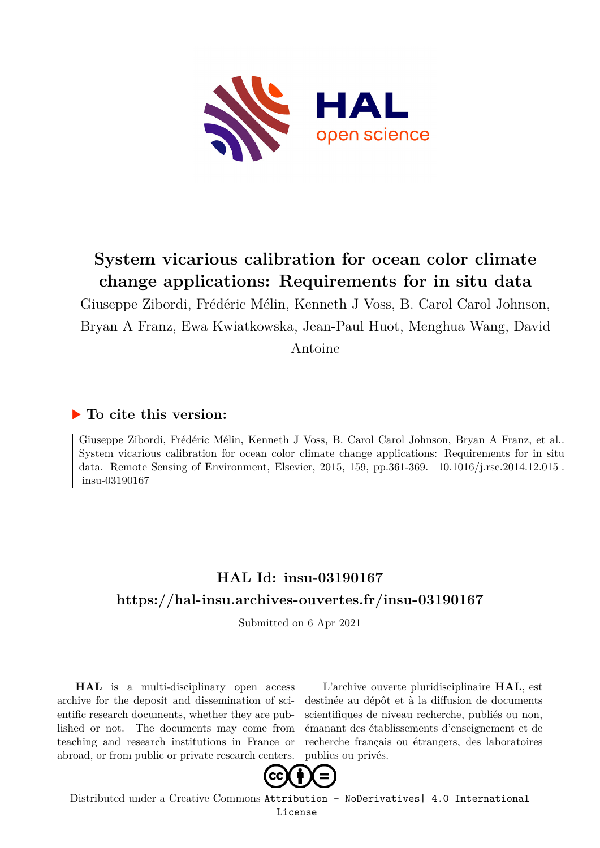

# **System vicarious calibration for ocean color climate change applications: Requirements for in situ data**

Giuseppe Zibordi, Frédéric Mélin, Kenneth J Voss, B. Carol Carol Johnson, Bryan A Franz, Ewa Kwiatkowska, Jean-Paul Huot, Menghua Wang, David

Antoine

### **To cite this version:**

Giuseppe Zibordi, Frédéric Mélin, Kenneth J Voss, B. Carol Carol Johnson, Bryan A Franz, et al.. System vicarious calibration for ocean color climate change applications: Requirements for in situ data. Remote Sensing of Environment, Elsevier, 2015, 159, pp.361-369.  $10.1016/j.rse.2014.12.015$ . insu-03190167

# **HAL Id: insu-03190167 <https://hal-insu.archives-ouvertes.fr/insu-03190167>**

Submitted on 6 Apr 2021

**HAL** is a multi-disciplinary open access archive for the deposit and dissemination of scientific research documents, whether they are published or not. The documents may come from teaching and research institutions in France or abroad, or from public or private research centers.

L'archive ouverte pluridisciplinaire **HAL**, est destinée au dépôt et à la diffusion de documents scientifiques de niveau recherche, publiés ou non, émanant des établissements d'enseignement et de recherche français ou étrangers, des laboratoires publics ou privés.



Distributed under a Creative Commons [Attribution - NoDerivatives| 4.0 International](http://creativecommons.org/licenses/by-nd/4.0/) [License](http://creativecommons.org/licenses/by-nd/4.0/)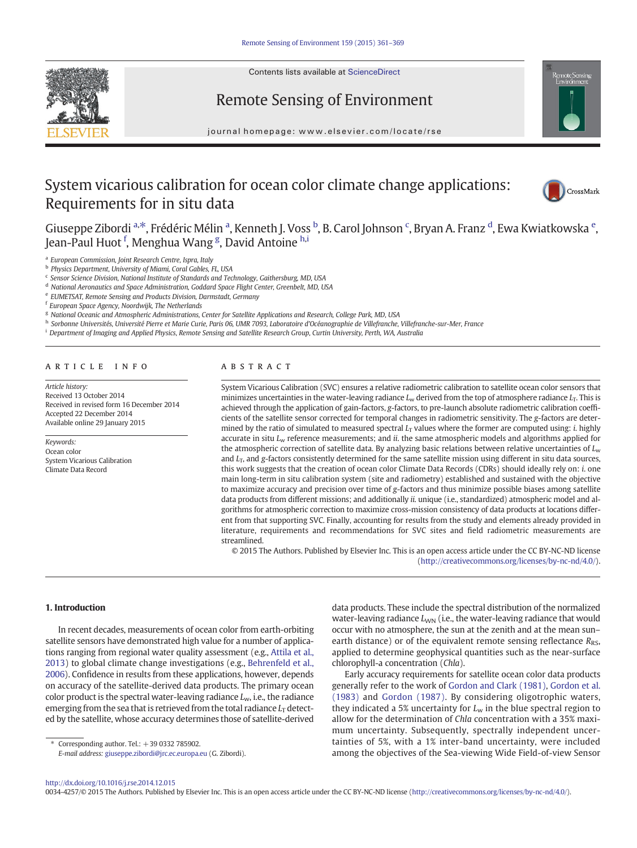

Contents lists available at ScienceDirect

### Remote Sensing of Environment



journal homepage:<www.elsevier.com/locate/rse>

## System vicarious calibration for ocean color climate change applications: Requirements for in situ data



Giuseppe Zibordi <sup>a,\*</sup>, Frédéric Mélin <sup>a</sup>, Kenneth J. Voss <sup>b</sup>, B. Carol Johnson <sup>c</sup>, Bryan A. Franz <sup>d</sup>, Ewa Kwiatkowska <sup>e</sup>, Jean-Paul Huot <sup>f</sup>, Menghua Wang <sup>g</sup>, David Antoine <sup>h,i</sup>

<sup>a</sup> European Commission, Joint Research Centre, Ispra, Italy

**b** Physics Department, University of Miami, Coral Gables, FL, USA

 $c$  Sensor Science Division, National Institute of Standards and Technology, Gaithersburg, MD, USA

<sup>d</sup> National Aeronautics and Space Administration, Goddard Space Flight Center, Greenbelt, MD, USA

<sup>e</sup> EUMETSAT, Remote Sensing and Products Division, Darmstadt, Germany

<sup>f</sup> European Space Agency, Noordwijk, The Netherlands

<sup>g</sup> National Oceanic and Atmospheric Administrations, Center for Satellite Applications and Research, College Park, MD, USA

h Sorbonne Universités, Université Pierre et Marie Curie, Paris 06, UMR 7093, Laboratoire d'Océanographie de Villefranche, Villefranche-sur-Mer, France

<sup>i</sup> Department of Imaging and Applied Physics, Remote Sensing and Satellite Research Group, Curtin University, Perth, WA, Australia

#### article info abstract

Article history: Received 13 October 2014 Received in revised form 16 December 2014 Accepted 22 December 2014 Available online 29 January 2015

Keywords: Ocean color System Vicarious Calibration Climate Data Record

System Vicarious Calibration (SVC) ensures a relative radiometric calibration to satellite ocean color sensors that minimizes uncertainties in the water-leaving radiance  $L_w$  derived from the top of atmosphere radiance  $L_T$ . This is achieved through the application of gain-factors, g-factors, to pre-launch absolute radiometric calibration coefficients of the satellite sensor corrected for temporal changes in radiometric sensitivity. The g-factors are determined by the ratio of simulated to measured spectral  $L_T$  values where the former are computed using: *i*. highly accurate in situ  $L<sub>w</sub>$  reference measurements; and ii. the same atmospheric models and algorithms applied for the atmospheric correction of satellite data. By analyzing basic relations between relative uncertainties of  $L_w$ and  $L<sub>T</sub>$ , and g-factors consistently determined for the same satellite mission using different in situ data sources, this work suggests that the creation of ocean color Climate Data Records (CDRs) should ideally rely on: i. one main long-term in situ calibration system (site and radiometry) established and sustained with the objective to maximize accuracy and precision over time of g-factors and thus minimize possible biases among satellite data products from different missions; and additionally ii. unique (i.e., standardized) atmospheric model and algorithms for atmospheric correction to maximize cross-mission consistency of data products at locations different from that supporting SVC. Finally, accounting for results from the study and elements already provided in literature, requirements and recommendations for SVC sites and field radiometric measurements are streamlined.

© 2015 The Authors. Published by Elsevier Inc. This is an open access article under the CC BY-NC-ND license ([http://creativecommons.org/licenses/by-nc-nd/4.0/\)](http://creativecommons.org/licenses/by-nc-nd/4.0/).

#### 1. Introduction

In recent decades, measurements of ocean color from earth-orbiting satellite sensors have demonstrated high value for a number of applications ranging from regional water quality assessment (e.g., Attila et al., 2013) to global climate change investigations (e.g., Behrenfeld et al., 2006). Confidence in results from these applications, however, depends on accuracy of the satellite-derived data products. The primary ocean color product is the spectral water-leaving radiance  $L<sub>w</sub>$ , i.e., the radiance emerging from the sea that is retrieved from the total radiance  $L<sub>T</sub>$  detected by the satellite, whose accuracy determines those of satellite-derived

⁎ Corresponding author. Tel.: +39 0332 785902.

E-mail address: [giuseppe.zibordi@jrc.ec.europa.eu](mailto:giuseppe.zibordi@jrc.ec.europa.eu) (G. Zibordi).

data products. These include the spectral distribution of the normalized water-leaving radiance  $L_{WN}$  (i.e., the water-leaving radiance that would occur with no atmosphere, the sun at the zenith and at the mean sun– earth distance) or of the equivalent remote sensing reflectance  $R_{RS}$ , applied to determine geophysical quantities such as the near-surface chlorophyll-a concentration (Chla).

Early accuracy requirements for satellite ocean color data products generally refer to the work of Gordon and Clark (1981), Gordon et al. (1983) and Gordon (1987). By considering oligotrophic waters, they indicated a 5% uncertainty for  $L<sub>w</sub>$  in the blue spectral region to allow for the determination of Chla concentration with a 35% maximum uncertainty. Subsequently, spectrally independent uncertainties of 5%, with a 1% inter-band uncertainty, were included among the objectives of the Sea-viewing Wide Field-of-view Sensor

<http://dx.doi.org/10.1016/j.rse.2014.12.015>

0034-4257/© 2015 The Authors. Published by Elsevier Inc. This is an open access article under the CC BY-NC-ND license [\(http://creativecommons.org/licenses/by-nc-nd/4.0/](http://creativecommons.org/licenses/by-nc-nd/4.0/)).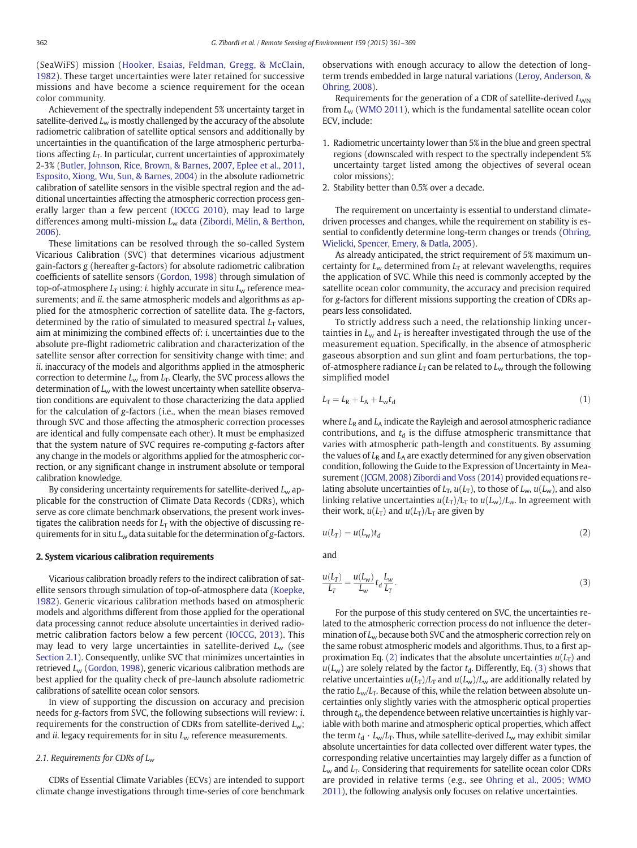(SeaWiFS) mission (Hooker, Esaias, Feldman, Gregg, & McClain, 1982). These target uncertainties were later retained for successive missions and have become a science requirement for the ocean color community.

Achievement of the spectrally independent 5% uncertainty target in satellite-derived  $L_w$  is mostly challenged by the accuracy of the absolute radiometric calibration of satellite optical sensors and additionally by uncertainties in the quantification of the large atmospheric perturbations affecting  $L<sub>T</sub>$ . In particular, current uncertainties of approximately 2-3% (Butler, Johnson, Rice, Brown, & Barnes, 2007, Eplee et al., 2011, Esposito, Xiong, Wu, Sun, & Barnes, 2004) in the absolute radiometric calibration of satellite sensors in the visible spectral region and the additional uncertainties affecting the atmospheric correction process generally larger than a few percent (IOCCG 2010), may lead to large differences among multi-mission  $L_w$  data (Zibordi, Mélin, & Berthon, 2006).

These limitations can be resolved through the so-called System Vicarious Calibration (SVC) that determines vicarious adjustment gain-factors g (hereafter g-factors) for absolute radiometric calibration coefficients of satellite sensors (Gordon, 1998) through simulation of top-of-atmosphere  $L<sub>T</sub>$  using: *i*. highly accurate in situ  $L<sub>w</sub>$  reference measurements; and ii. the same atmospheric models and algorithms as applied for the atmospheric correction of satellite data. The g-factors, determined by the ratio of simulated to measured spectral  $L<sub>T</sub>$  values, aim at minimizing the combined effects of: i. uncertainties due to the absolute pre-flight radiometric calibration and characterization of the satellite sensor after correction for sensitivity change with time; and ii. inaccuracy of the models and algorithms applied in the atmospheric correction to determine  $L_w$  from  $L_T$ . Clearly, the SVC process allows the determination of  $L_w$  with the lowest uncertainty when satellite observation conditions are equivalent to those characterizing the data applied for the calculation of g-factors (i.e., when the mean biases removed through SVC and those affecting the atmospheric correction processes are identical and fully compensate each other). It must be emphasized that the system nature of SVC requires re-computing g-factors after any change in the models or algorithms applied for the atmospheric correction, or any significant change in instrument absolute or temporal calibration knowledge.

By considering uncertainty requirements for satellite-derived  $L<sub>w</sub>$  applicable for the construction of Climate Data Records (CDRs), which serve as core climate benchmark observations, the present work investigates the calibration needs for  $L<sub>T</sub>$  with the objective of discussing requirements for in situ  $L_w$  data suitable for the determination of g-factors.

#### 2. System vicarious calibration requirements

Vicarious calibration broadly refers to the indirect calibration of satellite sensors through simulation of top-of-atmosphere data (Koepke, 1982). Generic vicarious calibration methods based on atmospheric models and algorithms different from those applied for the operational data processing cannot reduce absolute uncertainties in derived radiometric calibration factors below a few percent (IOCCG, 2013). This may lead to very large uncertainties in satellite-derived  $L<sub>w</sub>$  (see Section 2.1). Consequently, unlike SVC that minimizes uncertainties in retrieved  $L_{w}$  (Gordon, 1998), generic vicarious calibration methods are best applied for the quality check of pre-launch absolute radiometric calibrations of satellite ocean color sensors.

In view of supporting the discussion on accuracy and precision needs for g-factors from SVC, the following subsections will review: i. requirements for the construction of CDRs from satellite-derived  $L_w$ ; and *ii*. legacy requirements for in situ  $L<sub>w</sub>$  reference measurements.

### 2.1. Requirements for CDRs of  $L_w$

CDRs of Essential Climate Variables (ECVs) are intended to support climate change investigations through time-series of core benchmark observations with enough accuracy to allow the detection of longterm trends embedded in large natural variations (Leroy, Anderson, & Ohring, 2008).

Requirements for the generation of a CDR of satellite-derived  $L_{WN}$ from  $L<sub>w</sub>$  (WMO 2011), which is the fundamental satellite ocean color ECV, include:

- 1. Radiometric uncertainty lower than 5% in the blue and green spectral regions (downscaled with respect to the spectrally independent 5% uncertainty target listed among the objectives of several ocean color missions);
- 2. Stability better than 0.5% over a decade.

The requirement on uncertainty is essential to understand climatedriven processes and changes, while the requirement on stability is essential to confidently determine long-term changes or trends (Ohring, Wielicki, Spencer, Emery, & Datla, 2005).

As already anticipated, the strict requirement of 5% maximum uncertainty for  $L<sub>w</sub>$  determined from  $L<sub>T</sub>$  at relevant wavelengths, requires the application of SVC. While this need is commonly accepted by the satellite ocean color community, the accuracy and precision required for g-factors for different missions supporting the creation of CDRs appears less consolidated.

To strictly address such a need, the relationship linking uncertainties in  $L_w$  and  $L_T$  is hereafter investigated through the use of the measurement equation. Specifically, in the absence of atmospheric gaseous absorption and sun glint and foam perturbations, the topof-atmosphere radiance  $L<sub>T</sub>$  can be related to  $L<sub>w</sub>$  through the following simplified model

$$
L_{\rm T} = L_{\rm R} + L_{\rm A} + L_{\rm w} t_{\rm d} \tag{1}
$$

where  $L_R$  and  $L_A$  indicate the Rayleigh and aerosol atmospheric radiance contributions, and  $t<sub>d</sub>$  is the diffuse atmospheric transmittance that varies with atmospheric path-length and constituents. By assuming the values of  $L_R$  and  $L_A$  are exactly determined for any given observation condition, following the Guide to the Expression of Uncertainty in Measurement (JCGM, 2008) Zibordi and Voss (2014) provided equations relating absolute uncertainties of  $L_T$ ,  $u(L_T)$ , to those of  $L_w$ ,  $u(L_w)$ , and also linking relative uncertainties  $u(L_T)/L_T$  to  $u(L_w)/L_w$ . In agreement with their work,  $u(L_T)$  and  $u(L_T)/L_T$  are given by

$$
u(L_T) = u(L_w)t_d \tag{2}
$$

and

$$
\frac{u(L_T)}{L_T} = \frac{u(L_w)}{L_w} t_d \frac{L_w}{L_T}.\tag{3}
$$

For the purpose of this study centered on SVC, the uncertainties related to the atmospheric correction process do not influence the determination of  $L<sub>w</sub>$  because both SVC and the atmospheric correction rely on the same robust atmospheric models and algorithms. Thus, to a first approximation Eq. (2) indicates that the absolute uncertainties  $u(L_T)$  and  $u(L_w)$  are solely related by the factor  $t_d$ . Differently, Eq. (3) shows that relative uncertainties  $u(L_T)/L_T$  and  $u(L_w)/L_w$  are additionally related by the ratio  $L_w/L_T$ . Because of this, while the relation between absolute uncertainties only slightly varies with the atmospheric optical properties through  $t<sub>d</sub>$ , the dependence between relative uncertainties is highly variable with both marine and atmospheric optical properties, which affect the term  $t_d \cdot L_w/L_T$ . Thus, while satellite-derived  $L_w$  may exhibit similar absolute uncertainties for data collected over different water types, the corresponding relative uncertainties may largely differ as a function of  $L<sub>w</sub>$  and  $L<sub>T</sub>$ . Considering that requirements for satellite ocean color CDRs are provided in relative terms (e.g., see Ohring et al., 2005; WMO 2011), the following analysis only focuses on relative uncertainties.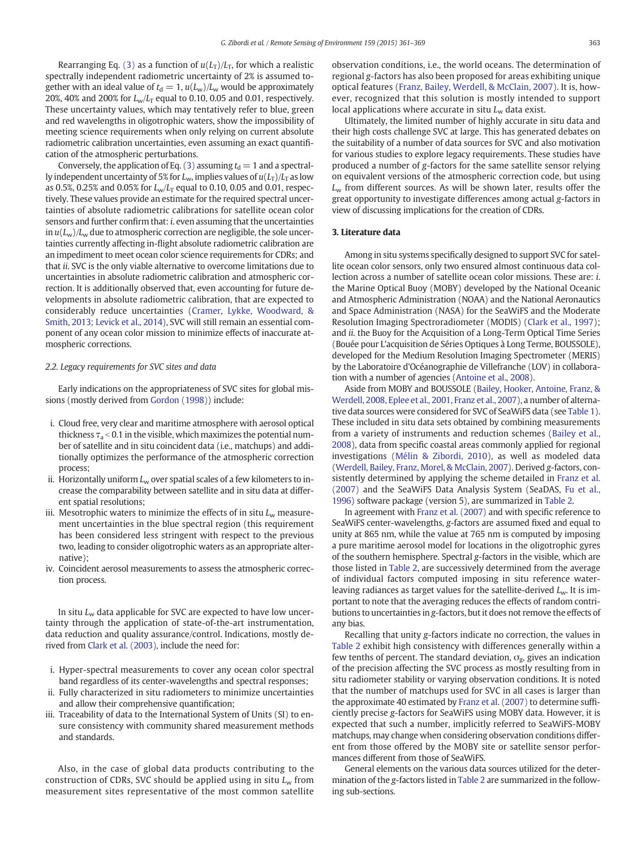Rearranging Eq. (3) as a function of  $u(L_T)/L_T$ , for which a realistic spectrally independent radiometric uncertainty of 2% is assumed together with an ideal value of  $t<sub>d</sub> = 1$ ,  $u(L<sub>w</sub>)/L<sub>w</sub>$  would be approximately 20%, 40% and 200% for  $L_{w}/L_{T}$  equal to 0.10, 0.05 and 0.01, respectively. These uncertainty values, which may tentatively refer to blue, green and red wavelengths in oligotrophic waters, show the impossibility of meeting science requirements when only relying on current absolute radiometric calibration uncertainties, even assuming an exact quantification of the atmospheric perturbations.

Conversely, the application of Eq. (3) assuming  $t<sub>d</sub> = 1$  and a spectrally independent uncertainty of 5% for  $L_w$ , implies values of  $u(L_T)/L_T$  as low as 0.5%, 0.25% and 0.05% for  $L_w/L_T$  equal to 0.10, 0.05 and 0.01, respectively. These values provide an estimate for the required spectral uncertainties of absolute radiometric calibrations for satellite ocean color sensors and further confirm that: i. even assuming that the uncertainties in  $u(L_w)/L_w$  due to atmospheric correction are negligible, the sole uncertainties currently affecting in-flight absolute radiometric calibration are an impediment to meet ocean color science requirements for CDRs; and that ii. SVC is the only viable alternative to overcome limitations due to uncertainties in absolute radiometric calibration and atmospheric correction. It is additionally observed that, even accounting for future developments in absolute radiometric calibration, that are expected to considerably reduce uncertainties (Cramer, Lykke, Woodward, & Smith, 2013; Levick et al., 2014), SVC will still remain an essential component of any ocean color mission to minimize effects of inaccurate atmospheric corrections.

#### 2.2. Legacy requirements for SVC sites and data

Early indications on the appropriateness of SVC sites for global missions (mostly derived from Gordon (1998)) include:

- i. Cloud free, very clear and maritime atmosphere with aerosol optical thickness  $\tau_a$  < 0.1 in the visible, which maximizes the potential number of satellite and in situ coincident data (i.e., matchups) and additionally optimizes the performance of the atmospheric correction process;
- ii. Horizontally uniform  $L_w$  over spatial scales of a few kilometers to increase the comparability between satellite and in situ data at different spatial resolutions;
- iii. Mesotrophic waters to minimize the effects of in situ  $L<sub>w</sub>$  measurement uncertainties in the blue spectral region (this requirement has been considered less stringent with respect to the previous two, leading to consider oligotrophic waters as an appropriate alternative);
- iv. Coincident aerosol measurements to assess the atmospheric correction process.

In situ  $L<sub>w</sub>$  data applicable for SVC are expected to have low uncertainty through the application of state-of-the-art instrumentation, data reduction and quality assurance/control. Indications, mostly derived from Clark et al. (2003), include the need for:

- i. Hyper-spectral measurements to cover any ocean color spectral band regardless of its center-wavelengths and spectral responses;
- ii. Fully characterized in situ radiometers to minimize uncertainties and allow their comprehensive quantification;
- iii. Traceability of data to the International System of Units (SI) to ensure consistency with community shared measurement methods and standards.

Also, in the case of global data products contributing to the construction of CDRs, SVC should be applied using in situ  $L<sub>w</sub>$  from measurement sites representative of the most common satellite observation conditions, i.e., the world oceans. The determination of regional g-factors has also been proposed for areas exhibiting unique optical features (Franz, Bailey, Werdell, & McClain, 2007). It is, however, recognized that this solution is mostly intended to support local applications where accurate in situ  $L<sub>w</sub>$  data exist.

Ultimately, the limited number of highly accurate in situ data and their high costs challenge SVC at large. This has generated debates on the suitability of a number of data sources for SVC and also motivation for various studies to explore legacy requirements. These studies have produced a number of g-factors for the same satellite sensor relying on equivalent versions of the atmospheric correction code, but using  $L<sub>w</sub>$  from different sources. As will be shown later, results offer the great opportunity to investigate differences among actual g-factors in view of discussing implications for the creation of CDRs.

#### 3. Literature data

Among in situ systems specifically designed to support SVC for satellite ocean color sensors, only two ensured almost continuous data collection across a number of satellite ocean color missions. These are: i. the Marine Optical Buoy (MOBY) developed by the National Oceanic and Atmospheric Administration (NOAA) and the National Aeronautics and Space Administration (NASA) for the SeaWiFS and the Moderate Resolution Imaging Spectroradiometer (MODIS) (Clark et al., 1997); and ii. the Buoy for the Acquisition of a Long-Term Optical Time Series (Bouée pour L'acquisition de Séries Optiques à Long Terme, BOUSSOLE), developed for the Medium Resolution Imaging Spectrometer (MERIS) by the Laboratoire d'Océanographie de Villefranche (LOV) in collaboration with a number of agencies (Antoine et al., 2008).

Aside from MOBY and BOUSSOLE (Bailey, Hooker, Antoine, Franz, & Werdell, 2008, Eplee et al., 2001, Franz et al., 2007), a number of alternative data sources were considered for SVC of SeaWiFS data (see Table 1). These included in situ data sets obtained by combining measurements from a variety of instruments and reduction schemes (Bailey et al., 2008), data from specific coastal areas commonly applied for regional investigations (Mélin & Zibordi, 2010), as well as modeled data (Werdell, Bailey, Franz, Morel, & McClain, 2007). Derived g-factors, consistently determined by applying the scheme detailed in Franz et al. (2007) and the SeaWiFS Data Analysis System (SeaDAS, Fu et al., 1996) software package (version 5), are summarized in Table 2.

In agreement with Franz et al. (2007) and with specific reference to SeaWiFS center-wavelengths, g-factors are assumed fixed and equal to unity at 865 nm, while the value at 765 nm is computed by imposing a pure maritime aerosol model for locations in the oligotrophic gyres of the southern hemisphere. Spectral g-factors in the visible, which are those listed in Table 2, are successively determined from the average of individual factors computed imposing in situ reference waterleaving radiances as target values for the satellite-derived  $L<sub>w</sub>$ . It is important to note that the averaging reduces the effects of random contributions to uncertainties in g-factors, but it does not remove the effects of any bias.

Recalling that unity g-factors indicate no correction, the values in Table 2 exhibit high consistency with differences generally within a few tenths of percent. The standard deviation,  $\sigma_{\rm g}$ , gives an indication of the precision affecting the SVC process as mostly resulting from in situ radiometer stability or varying observation conditions. It is noted that the number of matchups used for SVC in all cases is larger than the approximate 40 estimated by Franz et al. (2007) to determine sufficiently precise g-factors for SeaWiFS using MOBY data. However, it is expected that such a number, implicitly referred to SeaWiFS-MOBY matchups, may change when considering observation conditions different from those offered by the MOBY site or satellite sensor performances different from those of SeaWiFS.

General elements on the various data sources utilized for the determination of the g-factors listed in Table 2 are summarized in the following sub-sections.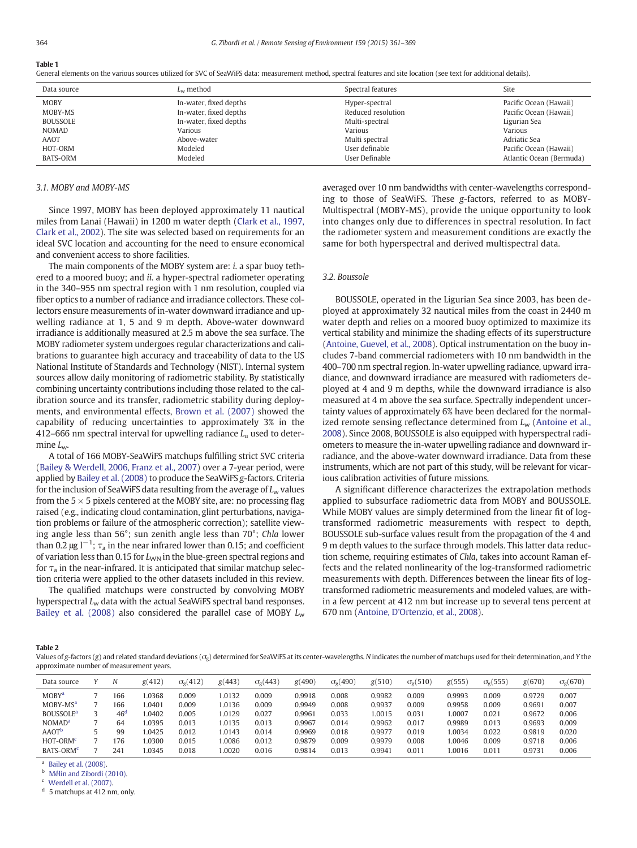#### Table 1

General elements on the various sources utilized for SVC of SeaWiFS data: measurement method, spectral features and site location (see text for additional details).

|                                                                                                                                                                                                                                                                                                                                                          | Pacific Ocean (Hawaii)                                                                                                  |
|----------------------------------------------------------------------------------------------------------------------------------------------------------------------------------------------------------------------------------------------------------------------------------------------------------------------------------------------------------|-------------------------------------------------------------------------------------------------------------------------|
| <b>MOBY</b><br>In-water, fixed depths<br>Hyper-spectral<br>Reduced resolution<br>In-water, fixed depths<br>MOBY-MS<br>In-water, fixed depths<br><b>BOUSSOLE</b><br>Multi-spectral<br>Various<br><b>NOMAD</b><br>Various<br>AAOT<br>Multi spectral<br>Above-water<br>User definable<br>Modeled<br>HOT-ORM<br>Modeled<br>User Definable<br><b>BATS-ORM</b> | Pacific Ocean (Hawaii)<br>Ligurian Sea<br>Various<br>Adriatic Sea<br>Pacific Ocean (Hawaii)<br>Atlantic Ocean (Bermuda) |

#### 3.1. MOBY and MOBY-MS

Since 1997, MOBY has been deployed approximately 11 nautical miles from Lanai (Hawaii) in 1200 m water depth (Clark et al., 1997, Clark et al., 2002). The site was selected based on requirements for an ideal SVC location and accounting for the need to ensure economical and convenient access to shore facilities.

The main components of the MOBY system are:  $i$ , a spar buoy tethered to a moored buoy; and *ii*. a hyper-spectral radiometer operating in the 340–955 nm spectral region with 1 nm resolution, coupled via fiber optics to a number of radiance and irradiance collectors. These collectors ensure measurements of in-water downward irradiance and upwelling radiance at 1, 5 and 9 m depth. Above-water downward irradiance is additionally measured at 2.5 m above the sea surface. The MOBY radiometer system undergoes regular characterizations and calibrations to guarantee high accuracy and traceability of data to the US National Institute of Standards and Technology (NIST). Internal system sources allow daily monitoring of radiometric stability. By statistically combining uncertainty contributions including those related to the calibration source and its transfer, radiometric stability during deployments, and environmental effects, Brown et al. (2007) showed the capability of reducing uncertainties to approximately 3% in the 412–666 nm spectral interval for upwelling radiance  $L<sub>u</sub>$  used to determine Lw.

A total of 166 MOBY-SeaWiFS matchups fulfilling strict SVC criteria (Bailey & Werdell, 2006, Franz et al., 2007) over a 7-year period, were applied by Bailey et al. (2008) to produce the SeaWiFS g-factors. Criteria for the inclusion of SeaWiFS data resulting from the average of  $L<sub>w</sub>$  values from the  $5 \times 5$  pixels centered at the MOBY site, are: no processing flag raised (e.g., indicating cloud contamination, glint perturbations, navigation problems or failure of the atmospheric correction); satellite viewing angle less than 56°; sun zenith angle less than 70°; Chla lower than 0.2  $\mu$ g l<sup>-1</sup>;  $\tau$ <sub>a</sub> in the near infrared lower than 0.15; and coefficient of variation less than 0.15 for  $L_{WN}$  in the blue-green spectral regions and for  $\tau_a$  in the near-infrared. It is anticipated that similar matchup selection criteria were applied to the other datasets included in this review.

The qualified matchups were constructed by convolving MOBY hyperspectral  $L<sub>w</sub>$  data with the actual SeaWiFS spectral band responses. Bailey et al. (2008) also considered the parallel case of MOBY  $L<sub>w</sub>$  averaged over 10 nm bandwidths with center-wavelengths corresponding to those of SeaWiFS. These g-factors, referred to as MOBY-Multispectral (MOBY-MS), provide the unique opportunity to look into changes only due to differences in spectral resolution. In fact the radiometer system and measurement conditions are exactly the same for both hyperspectral and derived multispectral data.

#### 3.2. Boussole

BOUSSOLE, operated in the Ligurian Sea since 2003, has been deployed at approximately 32 nautical miles from the coast in 2440 m water depth and relies on a moored buoy optimized to maximize its vertical stability and minimize the shading effects of its superstructure (Antoine, Guevel, et al., 2008). Optical instrumentation on the buoy includes 7-band commercial radiometers with 10 nm bandwidth in the 400–700 nm spectral region. In-water upwelling radiance, upward irradiance, and downward irradiance are measured with radiometers deployed at 4 and 9 m depths, while the downward irradiance is also measured at 4 m above the sea surface. Spectrally independent uncertainty values of approximately 6% have been declared for the normalized remote sensing reflectance determined from  $L_{w}$  (Antoine et al., 2008). Since 2008, BOUSSOLE is also equipped with hyperspectral radiometers to measure the in-water upwelling radiance and downward irradiance, and the above-water downward irradiance. Data from these instruments, which are not part of this study, will be relevant for vicarious calibration activities of future missions.

A significant difference characterizes the extrapolation methods applied to subsurface radiometric data from MOBY and BOUSSOLE. While MOBY values are simply determined from the linear fit of logtransformed radiometric measurements with respect to depth, BOUSSOLE sub-surface values result from the propagation of the 4 and 9 m depth values to the surface through models. This latter data reduction scheme, requiring estimates of Chla, takes into account Raman effects and the related nonlinearity of the log-transformed radiometric measurements with depth. Differences between the linear fits of logtransformed radiometric measurements and modeled values, are within a few percent at 412 nm but increase up to several tens percent at 670 nm (Antoine, D'Ortenzio, et al., 2008).

Table 2

Values of g-factors (g) and related standard deviations ( $\sigma_{\rm g}$ ) determined for SeaWiFS at its center-wavelengths. N indicates the number of matchups used for their determination, and Y the approximate number of measurement years.

| <b>MOBY<sup>a</sup></b><br>0.009<br>0.009<br>66<br>.0368<br>1.0132<br>0.9918<br>0.009<br>0.9729<br>0.009<br>0.008<br>0.9982<br>0.9993                                                                                                                                                                                                                                                                            | 0.007                    |
|------------------------------------------------------------------------------------------------------------------------------------------------------------------------------------------------------------------------------------------------------------------------------------------------------------------------------------------------------------------------------------------------------------------|--------------------------|
| MOBY-MS <sup>a</sup><br>0.009<br>0.9949<br>0.009<br>166<br>.0401<br>1.0136<br>0.009<br>0.008<br>0.9937<br>0.9958                                                                                                                                                                                                                                                                                                 | 0.9691<br>0.009<br>0.007 |
| 46 <sup>c</sup><br><b>BOUSSOLE</b> <sup>a</sup><br>.0402<br>0.005<br>0.9961<br>0.9672<br>1.0129<br>0.027<br>0.031<br>0.021<br>0.033<br>.0015<br>1.0007<br>0.9967<br>NOMAD <sup>a</sup><br>1.0135<br>0.9693<br>.0395<br>0.013<br>0.9962<br>0.013<br>64<br>0.013<br>0.017<br>0.9989<br>0.014                                                                                                                       | 0.006<br>0.009           |
| <b>AAOT</b><br>0.9969<br>.0425<br>0.022<br>99<br>0.012<br>0.9977<br>0.019<br>0.9819<br>1.0143<br>0.018<br>1.0034<br>0.014<br>.0086<br>0.9879<br>HOT-ORM <sup>c</sup><br>-76<br>.0300<br>0.015<br>0.9979<br>0.008<br>0.009<br>0.9718<br>0.012<br>0.009<br>1.0046<br>BATS-ORM <sup>o</sup><br>1.0020<br>0.9814<br>$24^{\circ}$<br>0.018<br>0.9731<br>0.011<br>1.0016<br>.0345<br>0.016<br>0.013<br>0.9941<br>0.011 | 0.020<br>0.006<br>0.006  |

Bailey et al. (2008).

**b** Mélin and Zibordi (2010).

 $c$  Werdell et al. (2007).

<sup>d</sup> 5 matchups at 412 nm, only.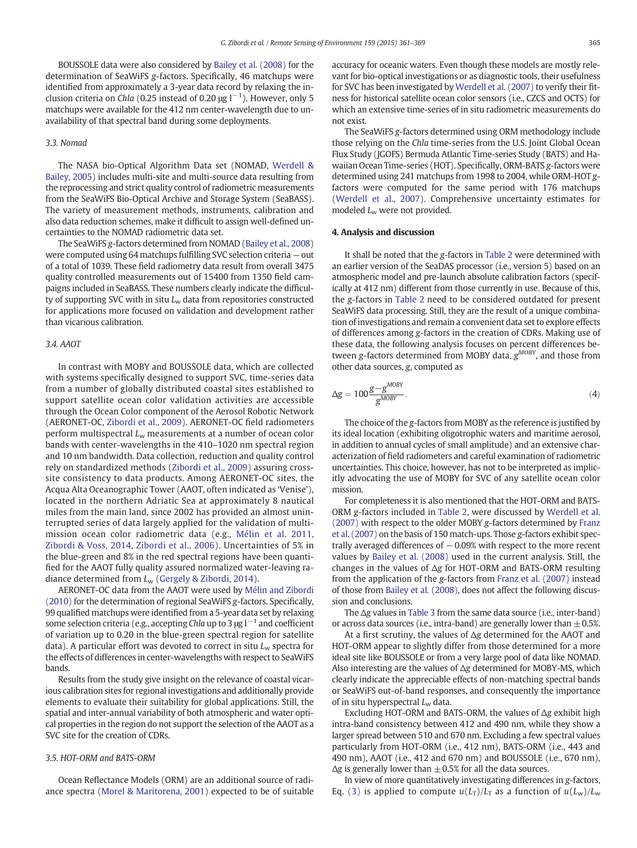BOUSSOLE data were also considered by Bailey et al. (2008) for the determination of SeaWiFS g-factors. Specifically, 46 matchups were identified from approximately a 3-year data record by relaxing the inclusion criteria on Chla (0.25 instead of 0.20 μg l<sup>−1</sup>). However, only 5 matchups were available for the 412 nm center-wavelength due to unavailability of that spectral band during some deployments.

#### 3.3. Nomad

The NASA bio-Optical Algorithm Data set (NOMAD, Werdell & Bailey, 2005) includes multi-site and multi-source data resulting from the reprocessing and strict quality control of radiometric measurements from the SeaWiFS Bio-Optical Archive and Storage System (SeaBASS). The variety of measurement methods, instruments, calibration and also data reduction schemes, make it difficult to assign well-defined uncertainties to the NOMAD radiometric data set.

The SeaWiFS g-factors determined from NOMAD (Bailey et al., 2008) were computed using 64 matchups fulfilling SVC selection criteria — out of a total of 1039. These field radiometry data result from overall 3475 quality controlled measurements out of 15400 from 1350 field campaigns included in SeaBASS. These numbers clearly indicate the difficulty of supporting SVC with in situ  $L<sub>w</sub>$  data from repositories constructed for applications more focused on validation and development rather than vicarious calibration.

#### 3.4. AAOT

In contrast with MOBY and BOUSSOLE data, which are collected with systems specifically designed to support SVC, time-series data from a number of globally distributed coastal sites established to support satellite ocean color validation activities are accessible through the Ocean Color component of the Aerosol Robotic Network (AERONET-OC, Zibordi et al., 2009). AERONET-OC field radiometers perform multispectral  $L<sub>w</sub>$  measurements at a number of ocean color bands with center-wavelengths in the 410–1020 nm spectral region and 10 nm bandwidth. Data collection, reduction and quality control rely on standardized methods (Zibordi et al., 2009) assuring crosssite consistency to data products. Among AERONET-OC sites, the Acqua Alta Oceanographic Tower (AAOT, often indicated as 'Venise'), located in the northern Adriatic Sea at approximately 8 nautical miles from the main land, since 2002 has provided an almost uninterrupted series of data largely applied for the validation of multimission ocean color radiometric data (e.g., Mélin et al. 2011, Zibordi & Voss, 2014, Zibordi et al., 2006). Uncertainties of 5% in the blue-green and 8% in the red spectral regions have been quantified for the AAOT fully quality assured normalized water-leaving radiance determined from  $L_{w}$  (Gergely & Zibordi, 2014).

AERONET-OC data from the AAOT were used by Mélin and Zibordi (2010) for the determination of regional SeaWiFS g-factors. Specifically, 99 qualified matchups were identified from a 5-year data set by relaxing some selection criteria (e.g., accepting Chla up to 3  $\mu$ g l<sup>-1</sup> and coefficient of variation up to 0.20 in the blue-green spectral region for satellite data). A particular effort was devoted to correct in situ  $L<sub>w</sub>$  spectra for the effects of differences in center-wavelengths with respect to SeaWiFS bands.

Results from the study give insight on the relevance of coastal vicarious calibration sites for regional investigations and additionally provide elements to evaluate their suitability for global applications. Still, the spatial and inter-annual variability of both atmospheric and water optical properties in the region do not support the selection of the AAOT as a SVC site for the creation of CDRs.

### 3.5. HOT-ORM and BATS-ORM

Ocean Reflectance Models (ORM) are an additional source of radiance spectra (Morel & Maritorena, 2001) expected to be of suitable accuracy for oceanic waters. Even though these models are mostly relevant for bio-optical investigations or as diagnostic tools, their usefulness for SVC has been investigated by Werdell et al. (2007) to verify their fitness for historical satellite ocean color sensors (i.e., CZCS and OCTS) for which an extensive time-series of in situ radiometric measurements do not exist.

The SeaWiFS g-factors determined using ORM methodology include those relying on the Chla time-series from the U.S. Joint Global Ocean Flux Study (JGOFS) Bermuda Atlantic Time-series Study (BATS) and Hawaiian Ocean Time-series (HOT). Specifically, ORM-BATS g-factors were determined using 241 matchups from 1998 to 2004, while ORM-HOT gfactors were computed for the same period with 176 matchups (Werdell et al., 2007). Comprehensive uncertainty estimates for modeled L<sup>w</sup> were not provided.

#### 4. Analysis and discussion

It shall be noted that the g-factors in Table 2 were determined with an earlier version of the SeaDAS processor (i.e., version 5) based on an atmospheric model and pre-launch absolute calibration factors (specifically at 412 nm) different from those currently in use. Because of this, the g-factors in Table 2 need to be considered outdated for present SeaWiFS data processing. Still, they are the result of a unique combination of investigations and remain a convenient data set to explore effects of differences among g-factors in the creation of CDRs. Making use of these data, the following analysis focuses on percent differences between g-factors determined from MOBY data,  $g^{MOBY}$ , and those from other data sources, g, computed as

$$
\Delta g = 100 \frac{g - g^{\text{MOBY}}}{g^{\text{MOBY}}}.
$$
\n
$$
\tag{4}
$$

The choice of the g-factors from MOBY as the reference is justified by its ideal location (exhibiting oligotrophic waters and maritime aerosol, in addition to annual cycles of small amplitude) and an extensive characterization of field radiometers and careful examination of radiometric uncertainties. This choice, however, has not to be interpreted as implicitly advocating the use of MOBY for SVC of any satellite ocean color mission.

For completeness it is also mentioned that the HOT-ORM and BATS-ORM g-factors included in Table 2, were discussed by Werdell et al. (2007) with respect to the older MOBY g-factors determined by Franz et al. (2007) on the basis of 150 match-ups. Those g-factors exhibit spectrally averaged differences of  $-0.09\%$  with respect to the more recent values by Bailey et al. (2008) used in the current analysis. Still, the changes in the values of Δg for HOT-ORM and BATS-ORM resulting from the application of the g-factors from Franz et al. (2007) instead of those from Bailey et al. (2008), does not affect the following discussion and conclusions.

The Δg values in Table 3 from the same data source (i.e., inter-band) or across data sources (i.e., intra-band) are generally lower than  $\pm$  0.5%.

At a first scrutiny, the values of Δg determined for the AAOT and HOT-ORM appear to slightly differ from those determined for a more ideal site like BOUSSOLE or from a very large pool of data like NOMAD. Also interesting are the values of Δg determined for MOBY-MS, which clearly indicate the appreciable effects of non-matching spectral bands or SeaWiFS out-of-band responses, and consequently the importance of in situ hyperspectral  $L_w$  data.

Excluding HOT-ORM and BATS-ORM, the values of Δg exhibit high intra-band consistency between 412 and 490 nm, while they show a larger spread between 510 and 670 nm. Excluding a few spectral values particularly from HOT-ORM (i.e., 412 nm), BATS-ORM (i.e., 443 and 490 nm), AAOT (i.e., 412 and 670 nm) and BOUSSOLE (i.e., 670 nm),  $\Delta$ g is generally lower than  $\pm$  0.5% for all the data sources.

In view of more quantitatively investigating differences in g-factors, Eq. (3) is applied to compute  $u(L_T)/L_T$  as a function of  $u(L_w)/L_w$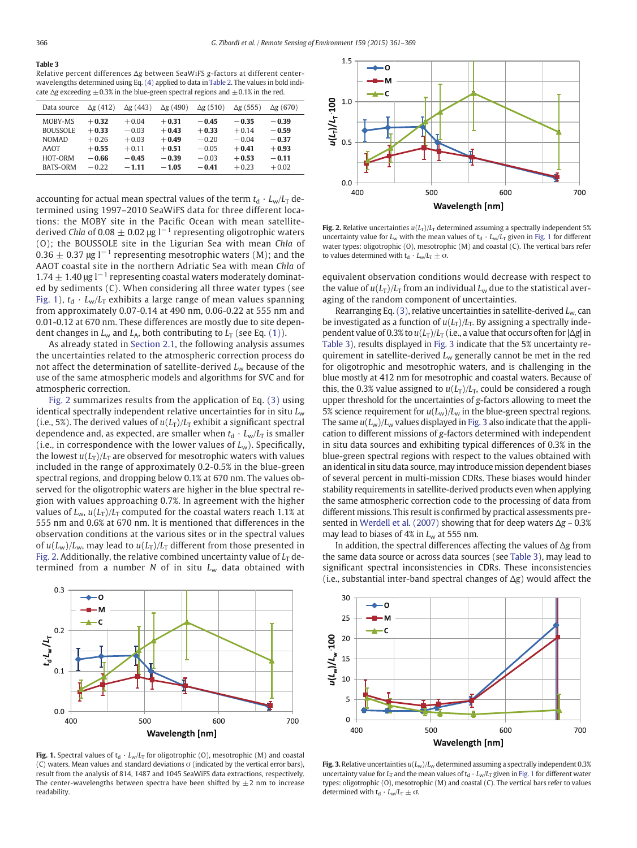#### Table 3

Relative percent differences Δg between SeaWiFS g-factors at different centerwavelengths determined using Eq. (4) applied to data in Table 2. The values in bold indicate  $\Delta$ g exceeding  $\pm$  0.3% in the blue-green spectral regions and  $\pm$  0.1% in the red.

| Data source     | $\Delta g$ (412) | $\Delta$ g (443) | $\Delta$ g (490) | $\Delta$ g (510) | $\Delta$ g (555) | $\Delta$ g (670) |
|-----------------|------------------|------------------|------------------|------------------|------------------|------------------|
| MOBY-MS         | $+0.32$          | $+0.04$          | $+0.31$          | $-0.45$          | $-0.35$          | $-0.39$          |
| <b>BOUSSOLE</b> | $+0.33$          | $-0.03$          | $+0.43$          | $+0.33$          | $+0.14$          | $-0.59$          |
| <b>NOMAD</b>    | $+0.26$          | $+0.03$          | $+0.49$          | $-0.20$          | $-0.04$          | $-0.37$          |
| AAOT            | $+0.55$          | $+0.11$          | $+0.51$          | $-0.05$          | $+0.41$          | $+0.93$          |
| HOT-ORM         | $-0.66$          | $-0.45$          | $-0.39$          | $-0.03$          | $+0.53$          | $-0.11$          |
| <b>BATS-ORM</b> | $-0.22$          | $-1.11$          | $-1.05$          | $-0.41$          | $+0.23$          | $+0.02$          |

accounting for actual mean spectral values of the term  $t_d \cdot L_w/L_T$  determined using 1997–2010 SeaWiFS data for three different locations: the MOBY site in the Pacific Ocean with mean satellitederived Chla of 0.08  $\pm$  0.02 μg l<sup>-1</sup> representing oligotrophic waters (O); the BOUSSOLE site in the Ligurian Sea with mean Chla of  $0.36 \pm 0.37$  μg l<sup>-1</sup> representing mesotrophic waters (M); and the AAOT coastal site in the northern Adriatic Sea with mean Chla of  $1.74 \pm 1.40$  μg l<sup>-1</sup> representing coastal waters moderately dominated by sediments (C). When considering all three water types (see Fig. 1),  $t_d$  ·  $L_w/L_T$  exhibits a large range of mean values spanning from approximately 0.07-0.14 at 490 nm, 0.06-0.22 at 555 nm and 0.01-0.12 at 670 nm. These differences are mostly due to site dependent changes in  $L_w$  and  $L_A$ , both contributing to  $L_T$  (see Eq. (1)).

As already stated in Section 2.1, the following analysis assumes the uncertainties related to the atmospheric correction process do not affect the determination of satellite-derived  $L_w$  because of the use of the same atmospheric models and algorithms for SVC and for atmospheric correction.

Fig. 2 summarizes results from the application of Eq. (3) using identical spectrally independent relative uncertainties for in situ  $L<sub>w</sub>$ (i.e., 5%). The derived values of  $u(L_T)/L_T$  exhibit a significant spectral dependence and, as expected, are smaller when  $t_d \cdot L_w/L_T$  is smaller (i.e., in correspondence with the lower values of  $L_w$ ). Specifically, the lowest  $u(L_T)/L_T$  are observed for mesotrophic waters with values included in the range of approximately 0.2-0.5% in the blue-green spectral regions, and dropping below 0.1% at 670 nm. The values observed for the oligotrophic waters are higher in the blue spectral region with values approaching 0.7%. In agreement with the higher values of  $L_w$ ,  $u(L_T)/L_T$  computed for the coastal waters reach 1.1% at 555 nm and 0.6% at 670 nm. It is mentioned that differences in the observation conditions at the various sites or in the spectral values of  $u(L_w)/L_w$ , may lead to  $u(L_T)/L_T$  different from those presented in Fig. 2. Additionally, the relative combined uncertainty value of  $L<sub>T</sub>$  determined from a number N of in situ  $L_w$  data obtained with



**Fig. 1.** Spectral values of  $t_d \cdot L_w/L_T$  for oligotrophic (O), mesotrophic (M) and coastal (C) waters. Mean values and standard deviations  $\sigma$  (indicated by the vertical error bars), result from the analysis of 814, 1487 and 1045 SeaWiFS data extractions, respectively. The center-wavelengths between spectra have been shifted by  $\pm 2$  nm to increase readability.



Fig. 2. Relative uncertainties  $u(L_T)/L_T$  determined assuming a spectrally independent 5% uncertainty value for  $L_w$  with the mean values of  $t_d \cdot L_w/L_T$  given in Fig. 1 for different water types: oligotrophic (O), mesotrophic (M) and coastal (C). The vertical bars refer to values determined with  $t_d \cdot L_w/L_T \pm \sigma$ .

equivalent observation conditions would decrease with respect to the value of  $u(L_T)/L_T$  from an individual  $L_w$  due to the statistical averaging of the random component of uncertainties.

Rearranging Eq.  $(3)$ , relative uncertainties in satellite-derived  $L<sub>w</sub>$  can be investigated as a function of  $u(L_T)/L_T$ . By assigning a spectrally independent value of 0.3% to  $u(L_T)/L_T$  (i.e., a value that occurs often for  $|\Delta g|$  in Table 3), results displayed in Fig. 3 indicate that the 5% uncertainty requirement in satellite-derived  $L<sub>w</sub>$  generally cannot be met in the red for oligotrophic and mesotrophic waters, and is challenging in the blue mostly at 412 nm for mesotrophic and coastal waters. Because of this, the 0.3% value assigned to  $u(L_T)/L_T$ , could be considered a rough upper threshold for the uncertainties of g-factors allowing to meet the 5% science requirement for  $u(L_w)/L_w$  in the blue-green spectral regions. The same  $u(L_w)/L_w$  values displayed in Fig. 3 also indicate that the application to different missions of g-factors determined with independent in situ data sources and exhibiting typical differences of 0.3% in the blue-green spectral regions with respect to the values obtained with an identical in situ data source, may introduce mission dependent biases of several percent in multi-mission CDRs. These biases would hinder stability requirements in satellite-derived products even when applying the same atmospheric correction code to the processing of data from different missions. This result is confirmed by practical assessments presented in Werdell et al. (2007) showing that for deep waters  $\Delta g \sim 0.3\%$ may lead to biases of  $4\%$  in  $L<sub>w</sub>$  at 555 nm.

In addition, the spectral differences affecting the values of Δg from the same data source or across data sources (see Table 3), may lead to significant spectral inconsistencies in CDRs. These inconsistencies (i.e., substantial inter-band spectral changes of  $\Delta$ g) would affect the



Fig. 3. Relative uncertainties  $u(L_w)/L_w$  determined assuming a spectrally independent 0.3% uncertainty value for  $L_T$  and the mean values of  $t_d \cdot L_w/L_T$  given in Fig. 1 for different water types: oligotrophic (O), mesotrophic (M) and coastal (C). The vertical bars refer to values determined with  $t_d \cdot L_w/L_T \pm \sigma$ .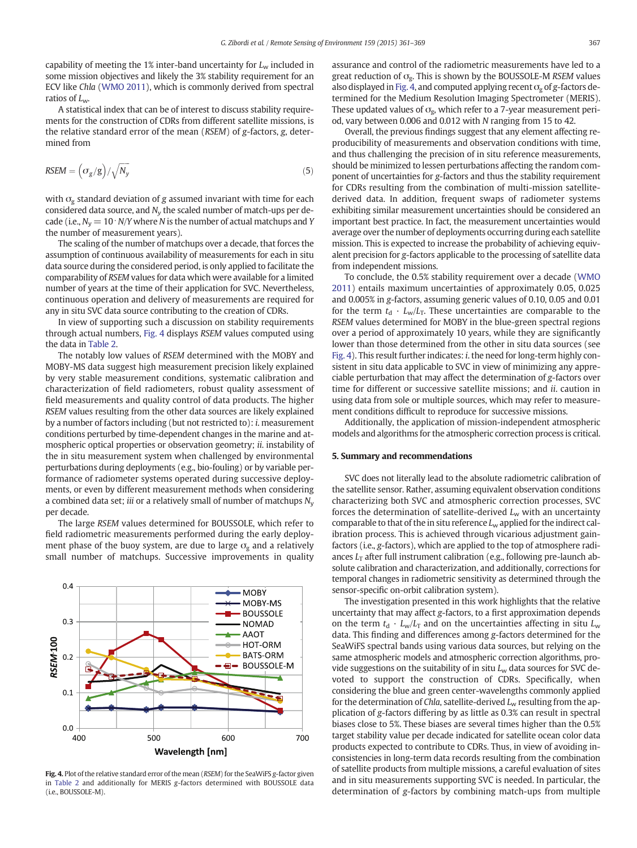capability of meeting the 1% inter-band uncertainty for  $L<sub>w</sub>$  included in some mission objectives and likely the 3% stability requirement for an ECV like Chla (WMO 2011), which is commonly derived from spectral ratios of  $L_w$ .

A statistical index that can be of interest to discuss stability requirements for the construction of CDRs from different satellite missions, is the relative standard error of the mean (RSEM) of g-factors, g, determined from

$$
RSEM = \left(\sigma_g/g\right) / \sqrt{N_y} \tag{5}
$$

with  $\sigma_{\rm g}$  standard deviation of g assumed invariant with time for each considered data source, and  $N_v$  the scaled number of match-ups per decade (i.e.,  $N_v = 10 \cdot N/Y$  where N is the number of actual matchups and Y the number of measurement years).

The scaling of the number of matchups over a decade, that forces the assumption of continuous availability of measurements for each in situ data source during the considered period, is only applied to facilitate the comparability of RSEM values for data which were available for a limited number of years at the time of their application for SVC. Nevertheless, continuous operation and delivery of measurements are required for any in situ SVC data source contributing to the creation of CDRs.

In view of supporting such a discussion on stability requirements through actual numbers, Fig. 4 displays RSEM values computed using the data in Table 2.

The notably low values of RSEM determined with the MOBY and MOBY-MS data suggest high measurement precision likely explained by very stable measurement conditions, systematic calibration and characterization of field radiometers, robust quality assessment of field measurements and quality control of data products. The higher RSEM values resulting from the other data sources are likely explained by a number of factors including (but not restricted to): i. measurement conditions perturbed by time-dependent changes in the marine and atmospheric optical properties or observation geometry; ii. instability of the in situ measurement system when challenged by environmental perturbations during deployments (e.g., bio-fouling) or by variable performance of radiometer systems operated during successive deployments, or even by different measurement methods when considering a combined data set; *iii* or a relatively small of number of matchups  $N_v$ per decade.

The large RSEM values determined for BOUSSOLE, which refer to field radiometric measurements performed during the early deployment phase of the buoy system, are due to large  $\sigma_{\rm g}$  and a relatively small number of matchups. Successive improvements in quality



Fig. 4. Plot of the relative standard error of the mean (RSEM) for the SeaWiFS g-factor given in Table 2 and additionally for MERIS g-factors determined with BOUSSOLE data (i.e., BOUSSOLE-M).

assurance and control of the radiometric measurements have led to a great reduction of  $\sigma_{\rm g}$ . This is shown by the BOUSSOLE-M RSEM values also displayed in Fig. 4, and computed applying recent  $\sigma_{\rm g}$  of g-factors determined for the Medium Resolution Imaging Spectrometer (MERIS). These updated values of  $\sigma_{\rm g}$ , which refer to a 7-year measurement period, vary between 0.006 and 0.012 with N ranging from 15 to 42.

Overall, the previous findings suggest that any element affecting reproducibility of measurements and observation conditions with time, and thus challenging the precision of in situ reference measurements, should be minimized to lessen perturbations affecting the random component of uncertainties for g-factors and thus the stability requirement for CDRs resulting from the combination of multi-mission satellitederived data. In addition, frequent swaps of radiometer systems exhibiting similar measurement uncertainties should be considered an important best practice. In fact, the measurement uncertainties would average over the number of deployments occurring during each satellite mission. This is expected to increase the probability of achieving equivalent precision for g-factors applicable to the processing of satellite data from independent missions.

To conclude, the 0.5% stability requirement over a decade (WMO 2011) entails maximum uncertainties of approximately 0.05, 0.025 and 0.005% in g-factors, assuming generic values of 0.10, 0.05 and 0.01 for the term  $t_d \cdot L_w/L_T$ . These uncertainties are comparable to the RSEM values determined for MOBY in the blue-green spectral regions over a period of approximately 10 years, while they are significantly lower than those determined from the other in situ data sources (see Fig. 4). This result further indicates: i. the need for long-term highly consistent in situ data applicable to SVC in view of minimizing any appreciable perturbation that may affect the determination of g-factors over time for different or successive satellite missions; and ii. caution in using data from sole or multiple sources, which may refer to measurement conditions difficult to reproduce for successive missions.

Additionally, the application of mission-independent atmospheric models and algorithms for the atmospheric correction process is critical.

#### 5. Summary and recommendations

SVC does not literally lead to the absolute radiometric calibration of the satellite sensor. Rather, assuming equivalent observation conditions characterizing both SVC and atmospheric correction processes, SVC forces the determination of satellite-derived  $L<sub>w</sub>$  with an uncertainty comparable to that of the in situ reference  $L_w$  applied for the indirect calibration process. This is achieved through vicarious adjustment gainfactors (i.e., g-factors), which are applied to the top of atmosphere radiances  $L<sub>T</sub>$  after full instrument calibration (e.g., following pre-launch absolute calibration and characterization, and additionally, corrections for temporal changes in radiometric sensitivity as determined through the sensor-specific on-orbit calibration system).

The investigation presented in this work highlights that the relative uncertainty that may affect g-factors, to a first approximation depends on the term  $t_d \cdot L_w/L_T$  and on the uncertainties affecting in situ  $L_w$ data. This finding and differences among g-factors determined for the SeaWiFS spectral bands using various data sources, but relying on the same atmospheric models and atmospheric correction algorithms, provide suggestions on the suitability of in situ  $L<sub>w</sub>$  data sources for SVC devoted to support the construction of CDRs. Specifically, when considering the blue and green center-wavelengths commonly applied for the determination of Chla, satellite-derived  $L<sub>w</sub>$  resulting from the application of g-factors differing by as little as 0.3% can result in spectral biases close to 5%. These biases are several times higher than the 0.5% target stability value per decade indicated for satellite ocean color data products expected to contribute to CDRs. Thus, in view of avoiding inconsistencies in long-term data records resulting from the combination of satellite products from multiple missions, a careful evaluation of sites and in situ measurements supporting SVC is needed. In particular, the determination of g-factors by combining match-ups from multiple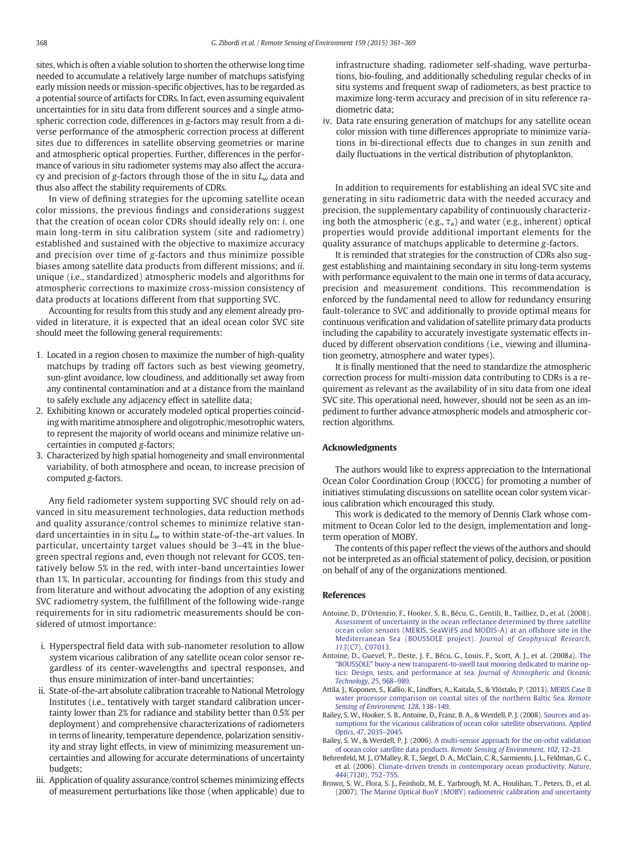sites, which is often a viable solution to shorten the otherwise long time needed to accumulate a relatively large number of matchups satisfying early mission needs or mission-specific objectives, has to be regarded as a potential source of artifacts for CDRs. In fact, even assuming equivalent uncertainties for in situ data from different sources and a single atmospheric correction code, differences in g-factors may result from a diverse performance of the atmospheric correction process at different sites due to differences in satellite observing geometries or marine and atmospheric optical properties. Further, differences in the performance of various in situ radiometer systems may also affect the accuracy and precision of g-factors through those of the in situ  $L<sub>w</sub>$  data and thus also affect the stability requirements of CDRs.

In view of defining strategies for the upcoming satellite ocean color missions, the previous findings and considerations suggest that the creation of ocean color CDRs should ideally rely on: i. one main long-term in situ calibration system (site and radiometry) established and sustained with the objective to maximize accuracy and precision over time of g-factors and thus minimize possible biases among satellite data products from different missions; and ii. unique (i.e., standardized) atmospheric models and algorithms for atmospheric corrections to maximize cross-mission consistency of data products at locations different from that supporting SVC.

Accounting for results from this study and any element already provided in literature, it is expected that an ideal ocean color SVC site should meet the following general requirements:

- 1. Located in a region chosen to maximize the number of high-quality matchups by trading off factors such as best viewing geometry, sun-glint avoidance, low cloudiness, and additionally set away from any continental contamination and at a distance from the mainland to safely exclude any adjacency effect in satellite data;
- 2. Exhibiting known or accurately modeled optical properties coinciding with maritime atmosphere and oligotrophic/mesotrophic waters, to represent the majority of world oceans and minimize relative uncertainties in computed g-factors;
- 3. Characterized by high spatial homogeneity and small environmental variability, of both atmosphere and ocean, to increase precision of computed g-factors.

Any field radiometer system supporting SVC should rely on advanced in situ measurement technologies, data reduction methods and quality assurance/control schemes to minimize relative standard uncertainties in in situ  $L_w$  to within state-of-the-art values. In particular, uncertainty target values should be 3–4% in the bluegreen spectral regions and, even though not relevant for GCOS, tentatively below 5% in the red, with inter-band uncertainties lower than 1%. In particular, accounting for findings from this study and from literature and without advocating the adoption of any existing SVC radiometry system, the fulfillment of the following wide-range requirements for in situ radiometric measurements should be considered of utmost importance:

- i. Hyperspectral field data with sub-nanometer resolution to allow system vicarious calibration of any satellite ocean color sensor regardless of its center-wavelengths and spectral responses, and thus ensure minimization of inter-band uncertainties;
- ii. State-of-the-art absolute calibration traceable to National Metrology Institutes (i.e., tentatively with target standard calibration uncertainty lower than 2% for radiance and stability better than 0.5% per deployment) and comprehensive characterizations of radiometers in terms of linearity, temperature dependence, polarization sensitivity and stray light effects, in view of minimizing measurement uncertainties and allowing for accurate determinations of uncertainty budgets;
- iii. Application of quality assurance/control schemes minimizing effects of measurement perturbations like those (when applicable) due to

infrastructure shading, radiometer self-shading, wave perturbations, bio-fouling, and additionally scheduling regular checks of in situ systems and frequent swap of radiometers, as best practice to maximize long-term accuracy and precision of in situ reference radiometric data;

iv. Data rate ensuring generation of matchups for any satellite ocean color mission with time differences appropriate to minimize variations in bi-directional effects due to changes in sun zenith and daily fluctuations in the vertical distribution of phytoplankton.

In addition to requirements for establishing an ideal SVC site and generating in situ radiometric data with the needed accuracy and precision, the supplementary capability of continuously characterizing both the atmospheric (e.g.,  $\tau_a$ ) and water (e.g., inherent) optical properties would provide additional important elements for the quality assurance of matchups applicable to determine g-factors.

It is reminded that strategies for the construction of CDRs also suggest establishing and maintaining secondary in situ long-term systems with performance equivalent to the main one in terms of data accuracy, precision and measurement conditions. This recommendation is enforced by the fundamental need to allow for redundancy ensuring fault-tolerance to SVC and additionally to provide optimal means for continuous verification and validation of satellite primary data products including the capability to accurately investigate systematic effects induced by different observation conditions (i.e., viewing and illumination geometry, atmosphere and water types).

It is finally mentioned that the need to standardize the atmospheric correction process for multi-mission data contributing to CDRs is a requirement as relevant as the availability of in situ data from one ideal SVC site. This operational need, however, should not be seen as an impediment to further advance atmospheric models and atmospheric correction algorithms.

#### Acknowledgments

The authors would like to express appreciation to the International Ocean Color Coordination Group (IOCCG) for promoting a number of initiatives stimulating discussions on satellite ocean color system vicarious calibration which encouraged this study.

This work is dedicated to the memory of Dennis Clark whose commitment to Ocean Color led to the design, implementation and longterm operation of MOBY.

The contents of this paper reflect the views of the authors and should not be interpreted as an official statement of policy, decision, or position on behalf of any of the organizations mentioned.

#### References

- Antoine, D., D'Ortenzio, F., Hooker, S. B., Bécu, G., Gentili, B., Tailliez, D., et al. (2008). [Assessment of uncertainty in the ocean re](http://refhub.elsevier.com/S0034-4257(14)00507-0/rf0005)flectance determined by three satellite [ocean color sensors \(MERIS, SeaWiFS and MODIS-A\) at an offshore site in the](http://refhub.elsevier.com/S0034-4257(14)00507-0/rf0005) [Mediterranean Sea \(BOUSSOLE project\).](http://refhub.elsevier.com/S0034-4257(14)00507-0/rf0005) Journal of Geophysical Research, 113[\(C7\), C07013.](http://refhub.elsevier.com/S0034-4257(14)00507-0/rf0005)
- Antoine, D., Guevel, P., Deste, J. F., Bécu, G., Louis, F., Scott, A. J., et al. (2008a). [The](http://refhub.elsevier.com/S0034-4257(14)00507-0/rf0135) "BOUSSOLE" [buoy-a new transparent-to-swell taut mooring dedicated to marine op](http://refhub.elsevier.com/S0034-4257(14)00507-0/rf0135)[tics: Design, tests, and performance at sea.](http://refhub.elsevier.com/S0034-4257(14)00507-0/rf0135) Journal of Atmospheric and Oceanic [Technology](http://refhub.elsevier.com/S0034-4257(14)00507-0/rf0135), 25, 968–989.
- Attila, J., Koponen, S., Kallio, K., Lindfors, A., Kaitala, S., & Ylöstalo, P. (2013). [MERIS Case II](http://refhub.elsevier.com/S0034-4257(14)00507-0/rf0010) [water processor comparison on coastal sites of the northern Baltic Sea.](http://refhub.elsevier.com/S0034-4257(14)00507-0/rf0010) Remote [Sensing of Environment](http://refhub.elsevier.com/S0034-4257(14)00507-0/rf0010), 128, 138–149.
- Bailey, S. W., Hooker, S. B., Antoine, D., Franz, B. A., & Werdell, P. J. (2008). [Sources and as](http://refhub.elsevier.com/S0034-4257(14)00507-0/rf0015)[sumptions for the vicarious calibration of ocean color satellite observations.](http://refhub.elsevier.com/S0034-4257(14)00507-0/rf0015) Applied Optics, 47[, 2035](http://refhub.elsevier.com/S0034-4257(14)00507-0/rf0015)–2045.
- Bailey, S. W., & Werdell, P. J. (2006). [A multi-sensor approach for the on-orbit validation](http://refhub.elsevier.com/S0034-4257(14)00507-0/rf0020) [of ocean color satellite data products.](http://refhub.elsevier.com/S0034-4257(14)00507-0/rf0020) Remote Sensing of Environment, 102, 12–23.
- Behrenfeld, M. J., O'Malley, R. T., Siegel, D. A., McClain, C. R., Sarmiento, J. L., Feldman, G. C., et al. (2006). [Climate-driven trends in contemporary ocean productivity.](http://refhub.elsevier.com/S0034-4257(14)00507-0/rf0025) Nature, 444[\(7120\), 752](http://refhub.elsevier.com/S0034-4257(14)00507-0/rf0025)–755.
- Brown, S. W., Flora, S. J., Feinholz, M. E., Yarbrough, M. A., Houlihan, T., Peters, D., et al. (2007). [The Marine Optical BuoY \(MOBY\) radiometric calibration and uncertainty](http://refhub.elsevier.com/S0034-4257(14)00507-0/rf0140)